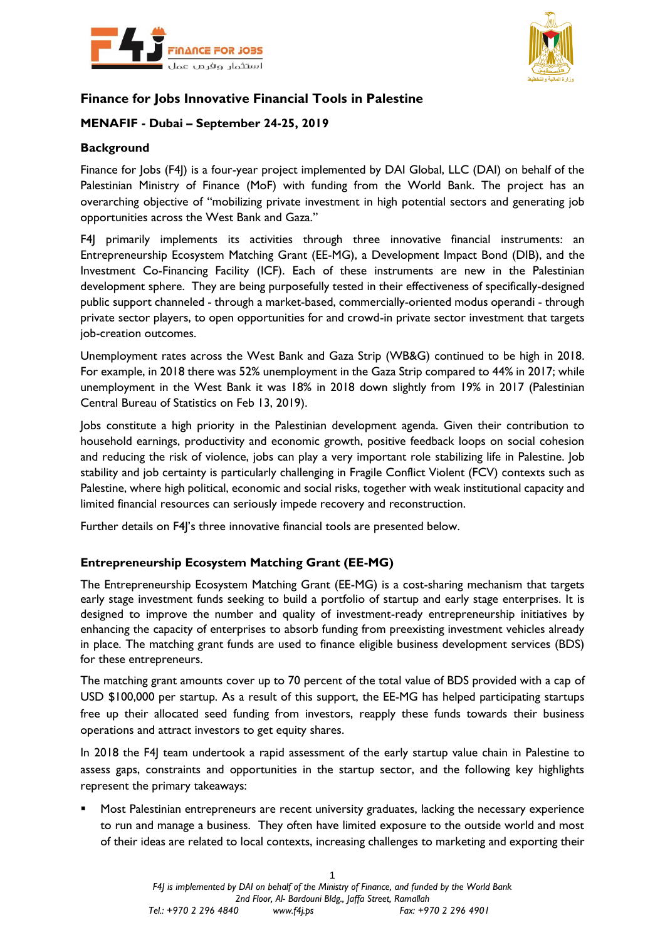



# **Finance for Jobs Innovative Financial Tools in Palestine**

## **MENAFIF - Dubai – September 24-25, 2019**

### **Background**

Finance for Jobs (F4J) is a four-year project implemented by DAI Global, LLC (DAI) on behalf of the Palestinian Ministry of Finance (MoF) with funding from the World Bank. The project has an overarching objective of "mobilizing private investment in high potential sectors and generating job opportunities across the West Bank and Gaza."

F4J primarily implements its activities through three innovative financial instruments: an Entrepreneurship Ecosystem Matching Grant (EE-MG), a Development Impact Bond (DIB), and the Investment Co-Financing Facility (ICF). Each of these instruments are new in the Palestinian development sphere. They are being purposefully tested in their effectiveness of specifically-designed public support channeled - through a market-based, commercially-oriented modus operandi - through private sector players, to open opportunities for and crowd-in private sector investment that targets job-creation outcomes.

Unemployment rates across the West Bank and Gaza Strip (WB&G) continued to be high in 2018. For example, in 2018 there was 52% unemployment in the Gaza Strip compared to 44% in 2017; while unemployment in the West Bank it was 18% in 2018 down slightly from 19% in 2017 (Palestinian Central Bureau of Statistics on Feb 13, 2019).

Jobs constitute a high priority in the Palestinian development agenda. Given their contribution to household earnings, productivity and economic growth, positive feedback loops on social cohesion and reducing the risk of violence, jobs can play a very important role stabilizing life in Palestine. Job stability and job certainty is particularly challenging in Fragile Conflict Violent (FCV) contexts such as Palestine, where high political, economic and social risks, together with weak institutional capacity and limited financial resources can seriously impede recovery and reconstruction.

Further details on F4]'s three innovative financial tools are presented below.

### **Entrepreneurship Ecosystem Matching Grant (EE-MG)**

The Entrepreneurship Ecosystem Matching Grant (EE-MG) is a cost-sharing mechanism that targets early stage investment funds seeking to build a portfolio of startup and early stage enterprises. It is designed to improve the number and quality of investment-ready entrepreneurship initiatives by enhancing the capacity of enterprises to absorb funding from preexisting investment vehicles already in place. The matching grant funds are used to finance eligible business development services (BDS) for these entrepreneurs.

The matching grant amounts cover up to 70 percent of the total value of BDS provided with a cap of USD \$100,000 per startup. As a result of this support, the EE-MG has helped participating startups free up their allocated seed funding from investors, reapply these funds towards their business operations and attract investors to get equity shares.

In 2018 the F4J team undertook a rapid assessment of the early startup value chain in Palestine to assess gaps, constraints and opportunities in the startup sector, and the following key highlights represent the primary takeaways:

■ Most Palestinian entrepreneurs are recent university graduates, lacking the necessary experience to run and manage a business. They often have limited exposure to the outside world and most of their ideas are related to local contexts, increasing challenges to marketing and exporting their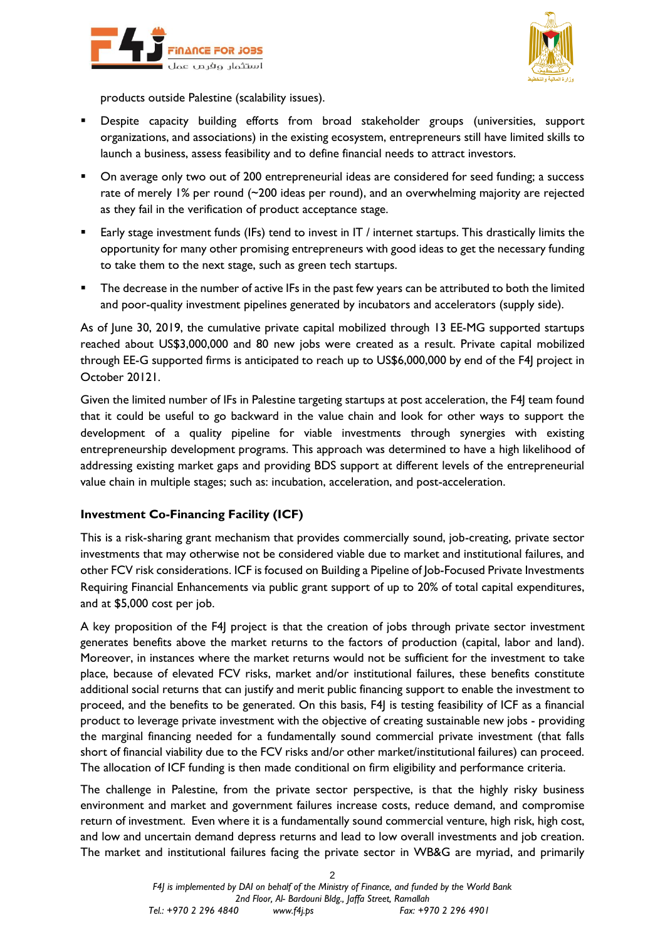



products outside Palestine (scalability issues).

- Despite capacity building efforts from broad stakeholder groups (universities, support organizations, and associations) in the existing ecosystem, entrepreneurs still have limited skills to launch a business, assess feasibility and to define financial needs to attract investors.
- On average only two out of 200 entrepreneurial ideas are considered for seed funding; a success rate of merely 1% per round (~200 ideas per round), and an overwhelming majority are rejected as they fail in the verification of product acceptance stage.
- Early stage investment funds (IFs) tend to invest in IT / internet startups. This drastically limits the opportunity for many other promising entrepreneurs with good ideas to get the necessary funding to take them to the next stage, such as green tech startups.
- The decrease in the number of active IFs in the past few years can be attributed to both the limited and poor-quality investment pipelines generated by incubators and accelerators (supply side).

As of June 30, 2019, the cumulative private capital mobilized through 13 EE-MG supported startups reached about US\$3,000,000 and 80 new jobs were created as a result. Private capital mobilized through EE-G supported firms is anticipated to reach up to US\$6,000,000 by end of the F4J project in October 20121.

Given the limited number of IFs in Palestine targeting startups at post acceleration, the F4J team found that it could be useful to go backward in the value chain and look for other ways to support the development of a quality pipeline for viable investments through synergies with existing entrepreneurship development programs. This approach was determined to have a high likelihood of addressing existing market gaps and providing BDS support at different levels of the entrepreneurial value chain in multiple stages; such as: incubation, acceleration, and post-acceleration.

## **Investment Co-Financing Facility (ICF)**

This is a risk-sharing grant mechanism that provides commercially sound, job-creating, private sector investments that may otherwise not be considered viable due to market and institutional failures, and other FCV risk considerations. ICF is focused on Building a Pipeline of Job-Focused Private Investments Requiring Financial Enhancements via public grant support of up to 20% of total capital expenditures, and at \$5,000 cost per job.

A key proposition of the F4J project is that the creation of jobs through private sector investment generates benefits above the market returns to the factors of production (capital, labor and land). Moreover, in instances where the market returns would not be sufficient for the investment to take place, because of elevated FCV risks, market and/or institutional failures, these benefits constitute additional social returns that can justify and merit public financing support to enable the investment to proceed, and the benefits to be generated. On this basis, F4J is testing feasibility of ICF as a financial product to leverage private investment with the objective of creating sustainable new jobs - providing the marginal financing needed for a fundamentally sound commercial private investment (that falls short of financial viability due to the FCV risks and/or other market/institutional failures) can proceed. The allocation of ICF funding is then made conditional on firm eligibility and performance criteria.

The challenge in Palestine, from the private sector perspective, is that the highly risky business environment and market and government failures increase costs, reduce demand, and compromise return of investment. Even where it is a fundamentally sound commercial venture, high risk, high cost, and low and uncertain demand depress returns and lead to low overall investments and job creation. The market and institutional failures facing the private sector in WB&G are myriad, and primarily

 $\mathfrak{p}$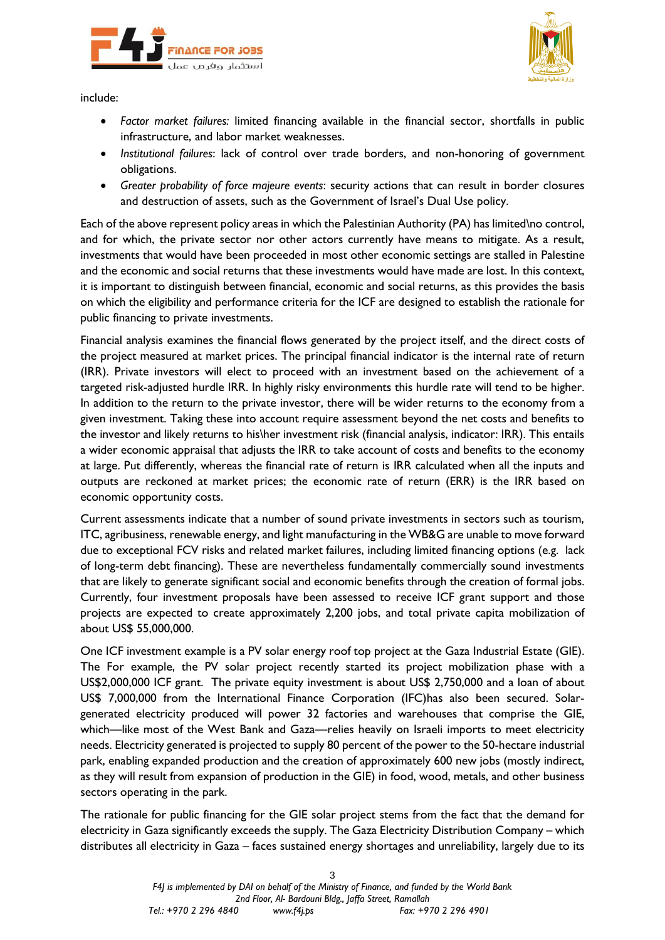



include:

- *Factor market failures:* limited financing available in the financial sector, shortfalls in public infrastructure, and labor market weaknesses.
- *Institutional failures*: lack of control over trade borders, and non-honoring of government obligations.
- *Greater probability of force majeure events*: security actions that can result in border closures and destruction of assets, such as the Government of Israel's Dual Use policy.

Each of the above represent policy areas in which the Palestinian Authority (PA) has limited\no control, and for which, the private sector nor other actors currently have means to mitigate. As a result, investments that would have been proceeded in most other economic settings are stalled in Palestine and the economic and social returns that these investments would have made are lost. In this context, it is important to distinguish between financial, economic and social returns, as this provides the basis on which the eligibility and performance criteria for the ICF are designed to establish the rationale for public financing to private investments.

Financial analysis examines the financial flows generated by the project itself, and the direct costs of the project measured at market prices. The principal financial indicator is the internal rate of return (IRR). Private investors will elect to proceed with an investment based on the achievement of a targeted risk-adjusted hurdle IRR. In highly risky environments this hurdle rate will tend to be higher. In addition to the return to the private investor, there will be wider returns to the economy from a given investment. Taking these into account require assessment beyond the net costs and benefits to the investor and likely returns to his\her investment risk (financial analysis, indicator: IRR). This entails a wider economic appraisal that adjusts the IRR to take account of costs and benefits to the economy at large. Put differently, whereas the financial rate of return is IRR calculated when all the inputs and outputs are reckoned at market prices; the economic rate of return (ERR) is the IRR based on economic opportunity costs.

Current assessments indicate that a number of sound private investments in sectors such as tourism, ITC, agribusiness, renewable energy, and light manufacturing in the WB&G are unable to move forward due to exceptional FCV risks and related market failures, including limited financing options (e.g. lack of long-term debt financing). These are nevertheless fundamentally commercially sound investments that are likely to generate significant social and economic benefits through the creation of formal jobs. Currently, four investment proposals have been assessed to receive ICF grant support and those projects are expected to create approximately 2,200 jobs, and total private capita mobilization of about US\$ 55,000,000.

One ICF investment example is a PV solar energy roof top project at the Gaza Industrial Estate (GIE). The For example, the PV solar project recently started its project mobilization phase with a US\$2,000,000 ICF grant. The private equity investment is about US\$ 2,750,000 and a loan of about US\$ 7,000,000 from the International Finance Corporation (IFC)has also been secured. Solargenerated electricity produced will power 32 factories and warehouses that comprise the GIE, which—like most of the West Bank and Gaza—relies heavily on Israeli imports to meet electricity needs. Electricity generated is projected to supply 80 percent of the power to the 50-hectare industrial park, enabling expanded production and the creation of approximately 600 new jobs (mostly indirect, as they will result from expansion of production in the GIE) in food, wood, metals, and other business sectors operating in the park.

The rationale for public financing for the GIE solar project stems from the fact that the demand for electricity in Gaza significantly exceeds the supply. The Gaza Electricity Distribution Company – which distributes all electricity in Gaza – faces sustained energy shortages and unreliability, largely due to its

3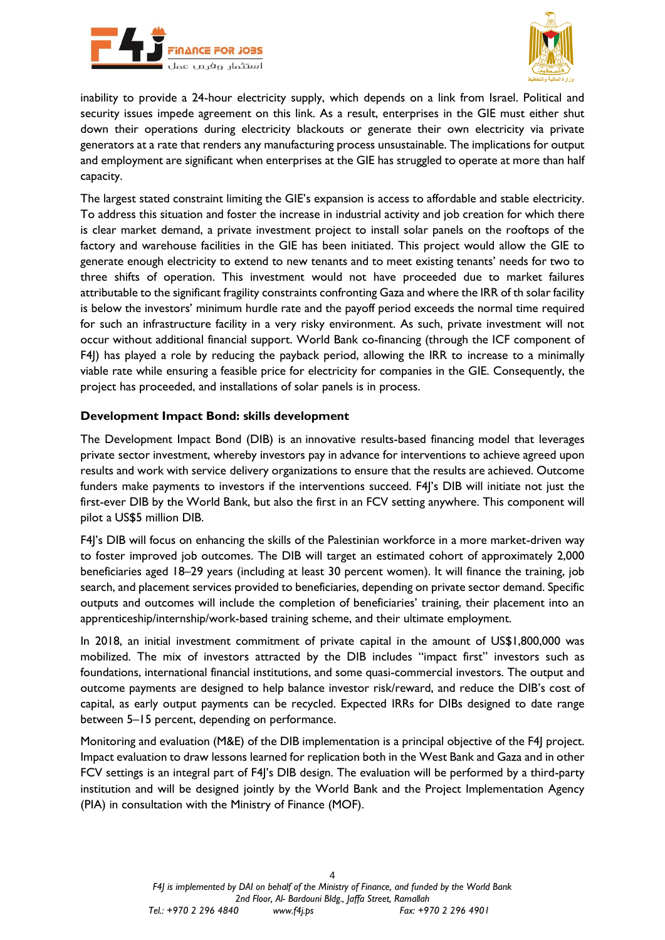



inability to provide a 24-hour electricity supply, which depends on a link from Israel. Political and security issues impede agreement on this link. As a result, enterprises in the GIE must either shut down their operations during electricity blackouts or generate their own electricity via private generators at a rate that renders any manufacturing process unsustainable. The implications for output and employment are significant when enterprises at the GIE has struggled to operate at more than half capacity.

The largest stated constraint limiting the GIE's expansion is access to affordable and stable electricity. To address this situation and foster the increase in industrial activity and job creation for which there is clear market demand, a private investment project to install solar panels on the rooftops of the factory and warehouse facilities in the GIE has been initiated. This project would allow the GIE to generate enough electricity to extend to new tenants and to meet existing tenants' needs for two to three shifts of operation. This investment would not have proceeded due to market failures attributable to the significant fragility constraints confronting Gaza and where the IRR of th solar facility is below the investors' minimum hurdle rate and the payoff period exceeds the normal time required for such an infrastructure facility in a very risky environment. As such, private investment will not occur without additional financial support. World Bank co-financing (through the ICF component of F4J) has played a role by reducing the payback period, allowing the IRR to increase to a minimally viable rate while ensuring a feasible price for electricity for companies in the GIE. Consequently, the project has proceeded, and installations of solar panels is in process.

#### **Development Impact Bond: skills development**

The Development Impact Bond (DIB) is an innovative results-based financing model that leverages private sector investment, whereby investors pay in advance for interventions to achieve agreed upon results and work with service delivery organizations to ensure that the results are achieved. Outcome funders make payments to investors if the interventions succeed. F4J's DIB will initiate not just the first-ever DIB by the World Bank, but also the first in an FCV setting anywhere. This component will pilot a US\$5 million DIB.

F4J's DIB will focus on enhancing the skills of the Palestinian workforce in a more market-driven way to foster improved job outcomes. The DIB will target an estimated cohort of approximately 2,000 beneficiaries aged 18–29 years (including at least 30 percent women). It will finance the training, job search, and placement services provided to beneficiaries, depending on private sector demand. Specific outputs and outcomes will include the completion of beneficiaries' training, their placement into an apprenticeship/internship/work-based training scheme, and their ultimate employment.

In 2018, an initial investment commitment of private capital in the amount of US\$1,800,000 was mobilized. The mix of investors attracted by the DIB includes "impact first" investors such as foundations, international financial institutions, and some quasi-commercial investors. The output and outcome payments are designed to help balance investor risk/reward, and reduce the DIB's cost of capital, as early output payments can be recycled. Expected IRRs for DIBs designed to date range between 5–15 percent, depending on performance.

Monitoring and evaluation (M&E) of the DIB implementation is a principal objective of the F4I project. Impact evaluation to draw lessons learned for replication both in the West Bank and Gaza and in other FCV settings is an integral part of F4J's DIB design. The evaluation will be performed by a third-party institution and will be designed jointly by the World Bank and the Project Implementation Agency (PIA) in consultation with the Ministry of Finance (MOF).